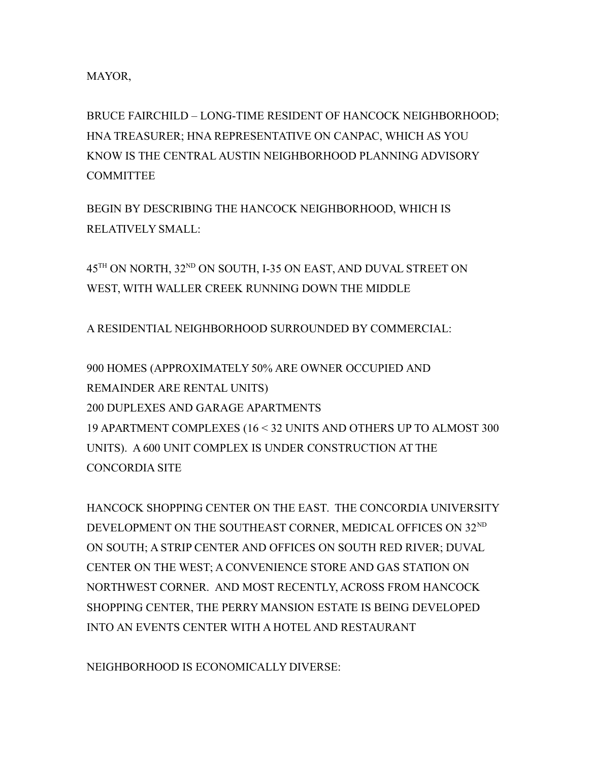MAYOR,

BRUCE FAIRCHILD – LONG-TIME RESIDENT OF HANCOCK NEIGHBORHOOD; HNA TREASURER; HNA REPRESENTATIVE ON CANPAC, WHICH AS YOU KNOW IS THE CENTRAL AUSTIN NEIGHBORHOOD PLANNING ADVISORY **COMMITTEE** 

BEGIN BY DESCRIBING THE HANCOCK NEIGHBORHOOD, WHICH IS RELATIVELY SMALL:

45<sup>TH</sup> ON NORTH, 32<sup>ND</sup> ON SOUTH, I-35 ON EAST, AND DUVAL STREET ON WEST, WITH WALLER CREEK RUNNING DOWN THE MIDDLE

A RESIDENTIAL NEIGHBORHOOD SURROUNDED BY COMMERCIAL:

900 HOMES (APPROXIMATELY 50% ARE OWNER OCCUPIED AND REMAINDER ARE RENTAL UNITS) 200 DUPLEXES AND GARAGE APARTMENTS 19 APARTMENT COMPLEXES (16 < 32 UNITS AND OTHERS UP TO ALMOST 300 UNITS). A 600 UNIT COMPLEX IS UNDER CONSTRUCTION AT THE CONCORDIA SITE

HANCOCK SHOPPING CENTER ON THE EAST. THE CONCORDIA UNIVERSITY DEVELOPMENT ON THE SOUTHEAST CORNER, MEDICAL OFFICES ON 32ND ON SOUTH; A STRIP CENTER AND OFFICES ON SOUTH RED RIVER; DUVAL CENTER ON THE WEST; A CONVENIENCE STORE AND GAS STATION ON NORTHWEST CORNER. AND MOST RECENTLY, ACROSS FROM HANCOCK SHOPPING CENTER, THE PERRY MANSION ESTATE IS BEING DEVELOPED INTO AN EVENTS CENTER WITH A HOTEL AND RESTAURANT

NEIGHBORHOOD IS ECONOMICALLY DIVERSE: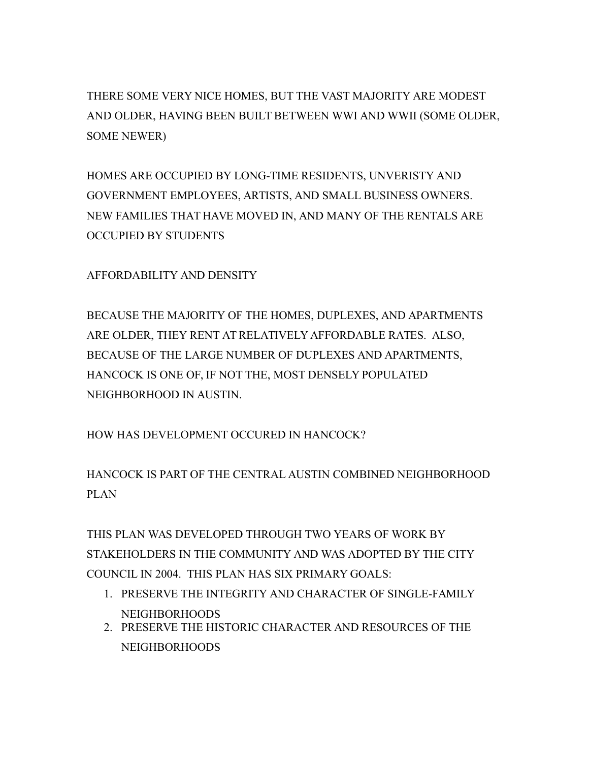THERE SOME VERY NICE HOMES, BUT THE VAST MAJORITY ARE MODEST AND OLDER, HAVING BEEN BUILT BETWEEN WWI AND WWII (SOME OLDER, SOME NEWER)

HOMES ARE OCCUPIED BY LONG-TIME RESIDENTS, UNVERISTY AND GOVERNMENT EMPLOYEES, ARTISTS, AND SMALL BUSINESS OWNERS. NEW FAMILIES THAT HAVE MOVED IN, AND MANY OF THE RENTALS ARE OCCUPIED BY STUDENTS

AFFORDABILITY AND DENSITY

BECAUSE THE MAJORITY OF THE HOMES, DUPLEXES, AND APARTMENTS ARE OLDER, THEY RENT AT RELATIVELY AFFORDABLE RATES. ALSO, BECAUSE OF THE LARGE NUMBER OF DUPLEXES AND APARTMENTS, HANCOCK IS ONE OF, IF NOT THE, MOST DENSELY POPULATED NEIGHBORHOOD IN AUSTIN.

HOW HAS DEVELOPMENT OCCURED IN HANCOCK?

HANCOCK IS PART OF THE CENTRAL AUSTIN COMBINED NEIGHBORHOOD PLAN

THIS PLAN WAS DEVELOPED THROUGH TWO YEARS OF WORK BY STAKEHOLDERS IN THE COMMUNITY AND WAS ADOPTED BY THE CITY COUNCIL IN 2004. THIS PLAN HAS SIX PRIMARY GOALS:

- 1. PRESERVE THE INTEGRITY AND CHARACTER OF SINGLE-FAMILY NEIGHBORHOODS
- 2. PRESERVE THE HISTORIC CHARACTER AND RESOURCES OF THE NEIGHBORHOODS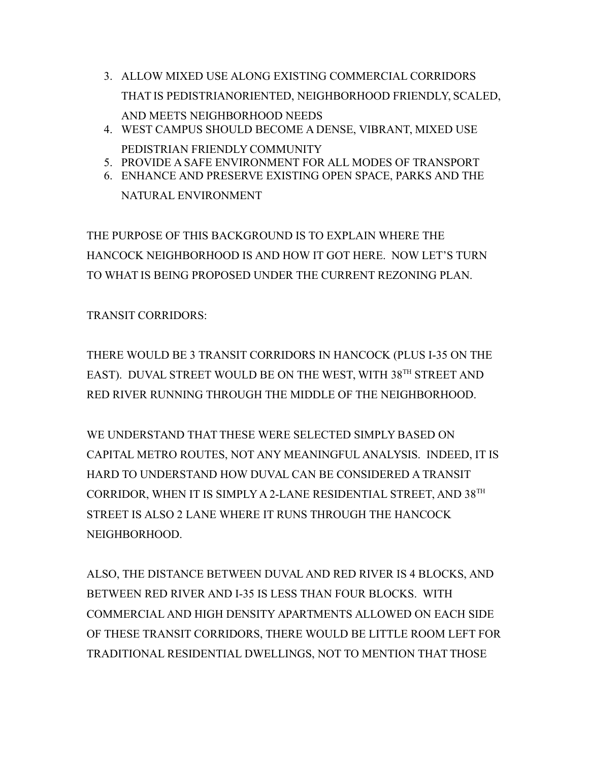3. ALLOW MIXED USE ALONG EXISTING COMMERCIAL CORRIDORS THAT IS PEDISTRIANORIENTED, NEIGHBORHOOD FRIENDLY, SCALED,

PEDISTRIAN FRIENDLY COMMUNITY

AND MEETS NEIGHBORHOOD NEEDS 4. WEST CAMPUS SHOULD BECOME A DENSE, VIBRANT, MIXED USE

5. PROVIDE A SAFE ENVIRONMENT FOR ALL MODES OF TRANSPORT 6. ENHANCE AND PRESERVE EXISTING OPEN SPACE, PARKS AND THE NATURAL ENVIRONMENT

THE PURPOSE OF THIS BACKGROUND IS TO EXPLAIN WHERE THE HANCOCK NEIGHBORHOOD IS AND HOW IT GOT HERE. NOW LET'S TURN TO WHAT IS BEING PROPOSED UNDER THE CURRENT REZONING PLAN.

TRANSIT CORRIDORS:

THERE WOULD BE 3 TRANSIT CORRIDORS IN HANCOCK (PLUS I-35 ON THE EAST). DUVAL STREET WOULD BE ON THE WEST, WITH 38<sup>TH</sup> STREET AND RED RIVER RUNNING THROUGH THE MIDDLE OF THE NEIGHBORHOOD.

WE UNDERSTAND THAT THESE WERE SELECTED SIMPLY BASED ON CAPITAL METRO ROUTES, NOT ANY MEANINGFUL ANALYSIS. INDEED, IT IS HARD TO UNDERSTAND HOW DUVAL CAN BE CONSIDERED A TRANSIT CORRIDOR, WHEN IT IS SIMPLY A 2-LANE RESIDENTIAL STREET, AND 38TH STREET IS ALSO 2 LANE WHERE IT RUNS THROUGH THE HANCOCK NEIGHBORHOOD.

ALSO, THE DISTANCE BETWEEN DUVAL AND RED RIVER IS 4 BLOCKS, AND BETWEEN RED RIVER AND I-35 IS LESS THAN FOUR BLOCKS. WITH COMMERCIAL AND HIGH DENSITY APARTMENTS ALLOWED ON EACH SIDE OF THESE TRANSIT CORRIDORS, THERE WOULD BE LITTLE ROOM LEFT FOR TRADITIONAL RESIDENTIAL DWELLINGS, NOT TO MENTION THAT THOSE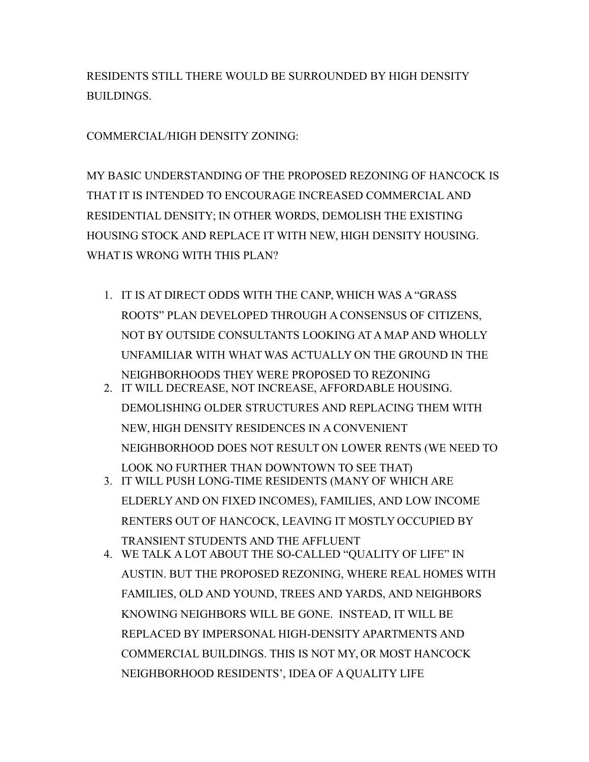RESIDENTS STILL THERE WOULD BE SURROUNDED BY HIGH DENSITY BUILDINGS.

COMMERCIAL/HIGH DENSITY ZONING:

MY BASIC UNDERSTANDING OF THE PROPOSED REZONING OF HANCOCK IS THAT IT IS INTENDED TO ENCOURAGE INCREASED COMMERCIAL AND RESIDENTIAL DENSITY; IN OTHER WORDS, DEMOLISH THE EXISTING HOUSING STOCK AND REPLACE IT WITH NEW, HIGH DENSITY HOUSING. WHAT IS WRONG WITH THIS PLAN?

- 1. IT IS AT DIRECT ODDS WITH THE CANP, WHICH WAS A "GRASS ROOTS" PLAN DEVELOPED THROUGH A CONSENSUS OF CITIZENS, NOT BY OUTSIDE CONSULTANTS LOOKING AT A MAP AND WHOLLY UNFAMILIAR WITH WHAT WAS ACTUALLY ON THE GROUND IN THE NEIGHBORHOODS THEY WERE PROPOSED TO REZONING
- 2. IT WILL DECREASE, NOT INCREASE, AFFORDABLE HOUSING. DEMOLISHING OLDER STRUCTURES AND REPLACING THEM WITH NEW, HIGH DENSITY RESIDENCES IN A CONVENIENT NEIGHBORHOOD DOES NOT RESULT ON LOWER RENTS (WE NEED TO LOOK NO FURTHER THAN DOWNTOWN TO SEE THAT) 3. IT WILL PUSH LONG-TIME RESIDENTS (MANY OF WHICH ARE
- ELDERLY AND ON FIXED INCOMES), FAMILIES, AND LOW INCOME RENTERS OUT OF HANCOCK, LEAVING IT MOSTLY OCCUPIED BY TRANSIENT STUDENTS AND THE AFFLUENT
- 4. WE TALK A LOT ABOUT THE SO-CALLED "QUALITY OF LIFE" IN AUSTIN. BUT THE PROPOSED REZONING, WHERE REAL HOMES WITH FAMILIES, OLD AND YOUND, TREES AND YARDS, AND NEIGHBORS KNOWING NEIGHBORS WILL BE GONE. INSTEAD, IT WILL BE REPLACED BY IMPERSONAL HIGH-DENSITY APARTMENTS AND COMMERCIAL BUILDINGS. THIS IS NOT MY, OR MOST HANCOCK NEIGHBORHOOD RESIDENTS', IDEA OF A QUALITY LIFE